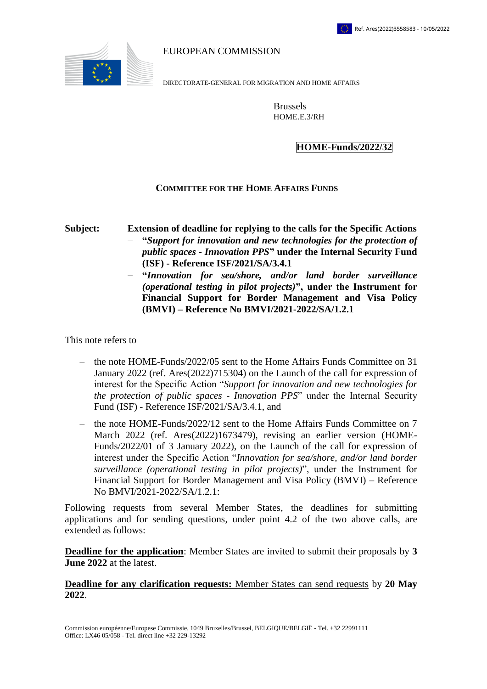

EUROPEAN COMMISSION

DIRECTORATE-GENERAL FOR MIGRATION AND HOME AFFAIRS

Brussels HOME.E.3/RH

## **HOME-Funds/2022/32**

## **COMMITTEE FOR THE HOME AFFAIRS FUNDS**

**Subject: Extension of deadline for replying to the calls for the Specific Actions "***Support for innovation and new technologies for the protection of public spaces - Innovation PPS***" under the Internal Security Fund (ISF) - Reference ISF/2021/SA/3.4.1**

> **"***Innovation for sea/shore, and/or land border surveillance (operational testing in pilot projects)***", under the Instrument for Financial Support for Border Management and Visa Policy (BMVI) – Reference No BMVI/2021-2022/SA/1.2.1**

This note refers to

- the note HOME-Funds/2022/05 sent to the Home Affairs Funds Committee on 31 January 2022 (ref. Ares(2022)715304) on the Launch of the call for expression of interest for the Specific Action "*Support for innovation and new technologies for the protection of public spaces - Innovation PPS*" under the Internal Security Fund (ISF) - Reference ISF/2021/SA/3.4.1, and
- the note HOME-Funds/2022/12 sent to the Home Affairs Funds Committee on 7 March 2022 (ref. Ares(2022)1673479), revising an earlier version (HOME-Funds/2022/01 of 3 January 2022), on the Launch of the call for expression of interest under the Specific Action "*Innovation for sea/shore, and/or land border surveillance (operational testing in pilot projects)*", under the Instrument for Financial Support for Border Management and Visa Policy (BMVI) – Reference No BMVI/2021-2022/SA/1.2.1:

Following requests from several Member States, the deadlines for submitting applications and for sending questions, under point 4.2 of the two above calls, are extended as follows:

**Deadline for the application**: Member States are invited to submit their proposals by **3 June 2022** at the latest.

## **Deadline for any clarification requests:** Member States can send requests by **20 May 2022**.